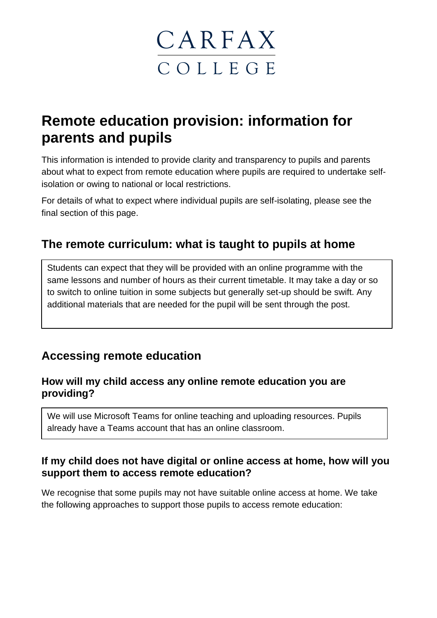

# **Remote education provision: information for parents and pupils**

This information is intended to provide clarity and transparency to pupils and parents about what to expect from remote education where pupils are required to undertake selfisolation or owing to national or local restrictions.

For details of what to expect where individual pupils are self-isolating, please see the final section of this page.

### **The remote curriculum: what is taught to pupils at home**

Students can expect that they will be provided with an online programme with the same lessons and number of hours as their current timetable. It may take a day or so to switch to online tuition in some subjects but generally set-up should be swift. Any additional materials that are needed for the pupil will be sent through the post.

### **Accessing remote education**

#### **How will my child access any online remote education you are providing?**

We will use Microsoft Teams for online teaching and uploading resources. Pupils already have a Teams account that has an online classroom.

#### **If my child does not have digital or online access at home, how will you support them to access remote education?**

We recognise that some pupils may not have suitable online access at home. We take the following approaches to support those pupils to access remote education: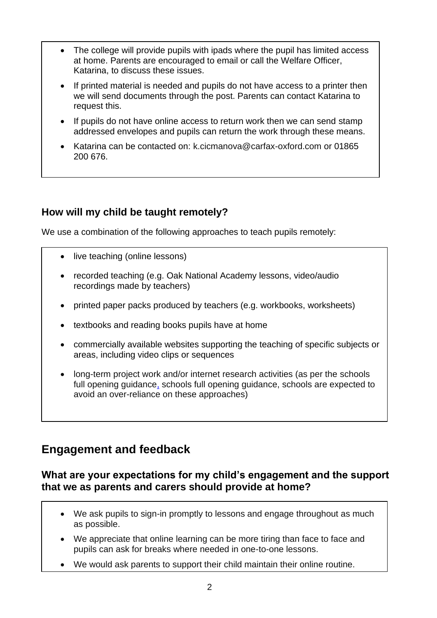- The college will provide pupils with ipads where the pupil has limited access at home. Parents are encouraged to email or call the Welfare Officer, Katarina, to discuss these issues.
- If printed material is needed and pupils do not have access to a printer then we will send documents through the post. Parents can contact Katarina to request this.
- If pupils do not have online access to return work then we can send stamp addressed envelopes and pupils can return the work through these means.
- Katarina can be contacted on: [k.cicmanova@carfax-oxford.com](mailto:k.cicmanova@carfax-oxford.com) or 01865 200 676.

### **How will my child be taught remotely?**

We use a combination of the following approaches to teach pupils remotely:

- live teaching (online lessons)
- recorded teaching (e.g. Oak National Academy lessons, video/audio recordings made by teachers)
- printed paper packs produced by teachers (e.g. workbooks, worksheets)
- textbooks and reading books pupils have at home
- commercially available websites supporting the teaching of specific subjects or areas, including video clips or sequences
- long-term project work and/or internet research activities (as per the schools [full opening guidance,](https://www.gov.uk/government/publications/actions-for-schools-during-the-coronavirus-outbreak/guidance-for-full-opening-schools#res) schools full opening guidance, schools are expected to avoid an over-reliance on these approaches)

### **Engagement and feedback**

#### **What are your expectations for my child's engagement and the support that we as parents and carers should provide at home?**

- We ask pupils to sign-in promptly to lessons and engage throughout as much as possible.
- We appreciate that online learning can be more tiring than face to face and pupils can ask for breaks where needed in one-to-one lessons.
- We would ask parents to support their child maintain their online routine.